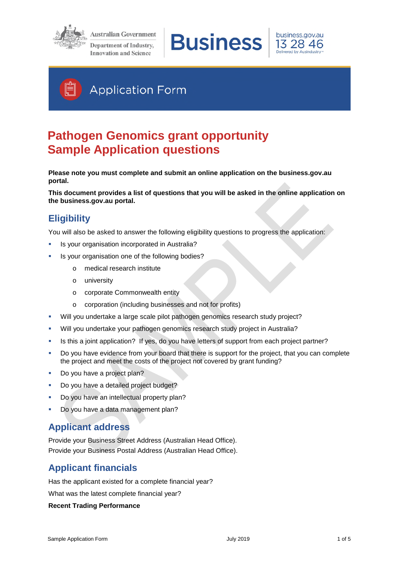

**Australian Government** Department of Industry, **Innovation and Science** 





# **Application Form**

# **Pathogen Genomics grant opportunity Sample Application questions**

**Please note you must complete and submit an online application on the business.gov.au portal.** 

**This document provides a list of questions that you will be asked in the online application on the business.gov.au portal.** 

## **Eligibility**

You will also be asked to answer the following eligibility questions to progress the application:

- Is your organisation incorporated in Australia?
- Is your organisation one of the following bodies?
	- o medical research institute
	- o university
	- o corporate Commonwealth entity
	- o corporation (including businesses and not for profits)
- Will you undertake a large scale pilot pathogen genomics research study project?
- Will you undertake your pathogen genomics research study project in Australia?
- Is this a joint application? If yes, do you have letters of support from each project partner?
- Do you have evidence from your board that there is support for the project, that you can complete the project and meet the costs of the project not covered by grant funding?
- Do you have a project plan?
- Do you have a detailed project budget?
- Do you have an intellectual property plan?
- Do you have a data management plan?

## **Applicant address**

Provide your Business Street Address (Australian Head Office). Provide your Business Postal Address (Australian Head Office).

## **Applicant financials**

Has the applicant existed for a complete financial year?

What was the latest complete financial year?

#### **Recent Trading Performance**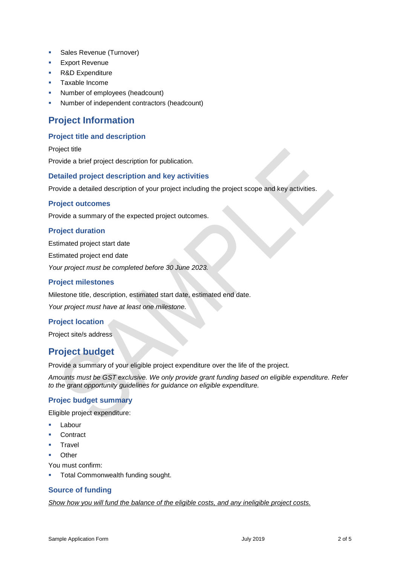- **Sales Revenue (Turnover)**
- Export Revenue
- **R&D Expenditure**
- **Taxable Income**
- Number of employees (headcount)
- Number of independent contractors (headcount)

## **Project Information**

### **Project title and description**

Project title Provide a brief project description for publication.

#### **Detailed project description and key activities**

Provide a detailed description of your project including the project scope and key activities.

#### **Project outcomes**

Provide a summary of the expected project outcomes.

### **Project duration**

Estimated project start date

Estimated project end date

*Your project must be completed before 30 June 2023.* 

#### **Project milestones**

Milestone title, description, estimated start date, estimated end date.

*Your project must have at least one milestone.*

### **Project location**

Project site/s address

## **Project budget**

Provide a summary of your eligible project expenditure over the life of the project.

*Amounts must be GST exclusive. We only provide grant funding based on eligible expenditure. Refer to the grant opportunity guidelines for guidance on eligible expenditure.* 

### **Projec budget summary**

Eligible project expenditure:

- Labour
- **Contract**
- **Travel**
- Other

You must confirm:

Total Commonwealth funding sought.

### **Source of funding**

*Show how you will fund the balance of the eligible costs, and any ineligible project costs.*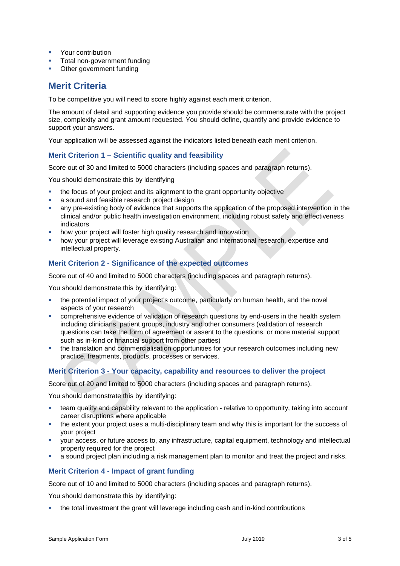- **•** Your contribution
- Total non-government funding
- Other government funding

## **Merit Criteria**

To be competitive you will need to score highly against each merit criterion.

The amount of detail and supporting evidence you provide should be commensurate with the project size, complexity and grant amount requested. You should define, quantify and provide evidence to support your answers.

Your application will be assessed against the indicators listed beneath each merit criterion.

### **Merit Criterion 1 – Scientific quality and feasibility**

Score out of 30 and limited to 5000 characters (including spaces and paragraph returns).

You should demonstrate this by identifying

- the focus of your project and its alignment to the grant opportunity objective
- a sound and feasible research project design
- any pre-existing body of evidence that supports the application of the proposed intervention in the clinical and/or public health investigation environment, including robust safety and effectiveness indicators
- how your project will foster high quality research and innovation
- how your project will leverage existing Australian and international research, expertise and intellectual property.

#### **Merit Criterion 2 - Significance of the expected outcomes**

Score out of 40 and limited to 5000 characters (including spaces and paragraph returns).

You should demonstrate this by identifying:

- the potential impact of your project's outcome, particularly on human health, and the novel aspects of your research
- comprehensive evidence of validation of research questions by end-users in the health system including clinicians, patient groups, industry and other consumers (validation of research questions can take the form of agreement or assent to the questions, or more material support such as in-kind or financial support from other parties)
- the translation and commercialisation opportunities for your research outcomes including new practice, treatments, products, processes or services.

### **Merit Criterion 3 - Your capacity, capability and resources to deliver the project**

Score out of 20 and limited to 5000 characters (including spaces and paragraph returns).

You should demonstrate this by identifying:

- team quality and capability relevant to the application relative to opportunity, taking into account career disruptions where applicable
- the extent your project uses a multi-disciplinary team and why this is important for the success of your project
- your access, or future access to, any infrastructure, capital equipment, technology and intellectual property required for the project
- a sound project plan including a risk management plan to monitor and treat the project and risks.

#### **Merit Criterion 4 - Impact of grant funding**

Score out of 10 and limited to 5000 characters (including spaces and paragraph returns).

You should demonstrate this by identifying:

the total investment the grant will leverage including cash and in-kind contributions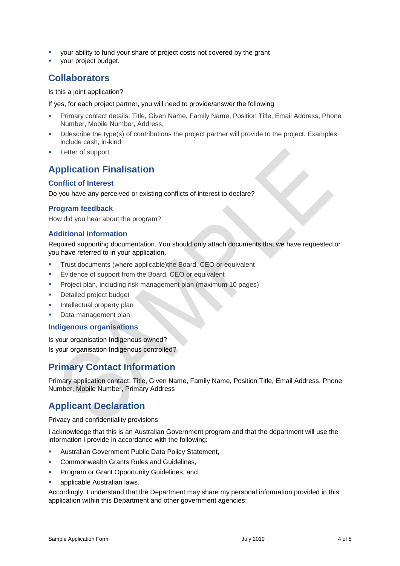- your ability to fund your share of project costs not covered by the grant
- your project budget.

## **Collaborators**

Is this a joint application?

If yes, for each project partner, you will need to provide/answer the following

- Primary contact details: Title, Given Name, Family Name, Position Title, Email Address, Phone Number, Mobile Number, Address,
- Ddescribe the type(s) of contributions the project partner will provide to the project. Examples include cash, in-kind
- Letter of support

## **Application Finalisation**

### **Conflict of Interest**

Do you have any perceived or existing conflicts of interest to declare?

#### **Program feedback**

How did you hear about the program?

#### **Additional information**

Required supporting documentation. You should only attach documents that we have requested or you have referred to in your application.

- Trust documents (where applicable)the Board, CEO or equivalent
- Evidence of support from the Board, CEO or equivalent
- **Project plan, including risk management plan (maximum 10 pages)**
- Detailed project budget
- Intellectual property plan
- **Data management plan**

#### **Indigenous organisations**

Is your organisation Indigenous owned? Is your organisation Indigenous controlled?

## **Primary Contact Information**

Primary application contact: Title, Given Name, Family Name, Position Title, Email Address, Phone Number, Mobile Number, Primary Address

## **Applicant Declaration**

Privacy and confidentiality provisions

I acknowledge that this is an Australian Government program and that the department will use the information I provide in accordance with the following:

- Australian Government Public Data Policy Statement,
- Commonwealth Grants Rules and Guidelines,
- Program or Grant Opportunity Guidelines, and
- applicable Australian laws.

Accordingly, I understand that the Department may share my personal information provided in this application within this Department and other government agencies: